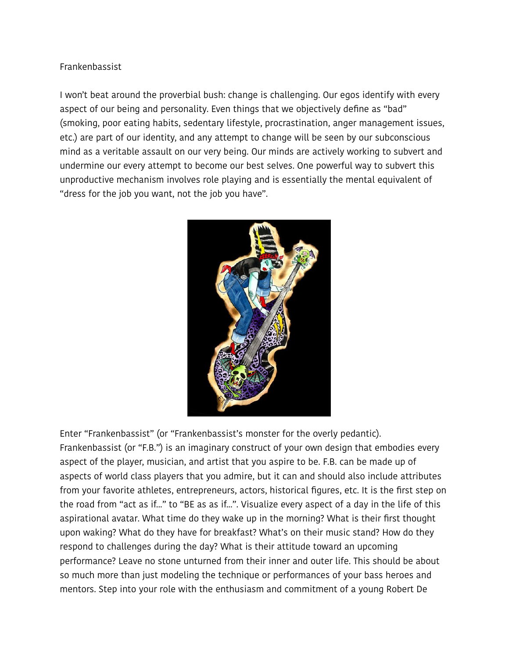## Frankenbassist

I won't beat around the proverbial bush: change is challenging. Our egos identify with every aspect of our being and personality. Even things that we objectively define as "bad" (smoking, poor eating habits, sedentary lifestyle, procrastination, anger management issues, etc.) are part of our identity, and any attempt to change will be seen by our subconscious mind as a veritable assault on our very being. Our minds are actively working to subvert and undermine our every attempt to become our best selves. One powerful way to subvert this unproductive mechanism involves role playing and is essentially the mental equivalent of "dress for the job you want, not the job you have".



Enter "Frankenbassist" (or "Frankenbassist's monster for the overly pedantic). Frankenbassist (or "F.B.") is an imaginary construct of your own design that embodies every aspect of the player, musician, and artist that you aspire to be. F.B. can be made up of aspects of world class players that you admire, but it can and should also include attributes from your favorite athletes, entrepreneurs, actors, historical figures, etc. It is the first step on the road from "act as if..." to "BE as as if...". Visualize every aspect of a day in the life of this aspirational avatar. What time do they wake up in the morning? What is their first thought upon waking? What do they have for breakfast? What's on their music stand? How do they respond to challenges during the day? What is their attitude toward an upcoming performance? Leave no stone unturned from their inner and outer life. This should be about so much more than just modeling the technique or performances of your bass heroes and mentors. Step into your role with the enthusiasm and commitment of a young Robert De